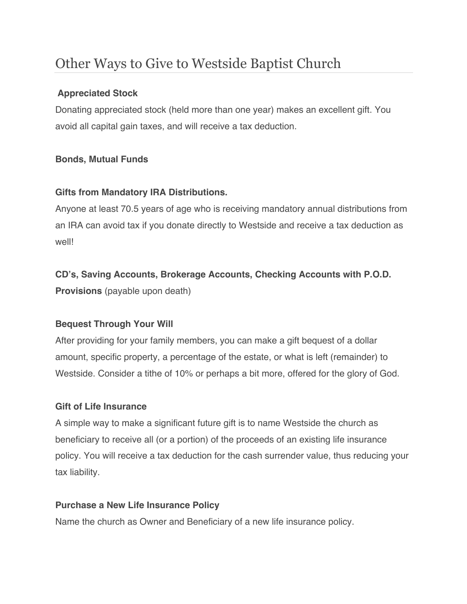# Other Ways to Give to Westside Baptist Church

#### **Appreciated Stock**

Donating appreciated stock (held more than one year) makes an excellent gift. You avoid all capital gain taxes, and will receive a tax deduction.

## **Bonds, Mutual Funds**

## **Gifts from Mandatory IRA Distributions.**

Anyone at least 70.5 years of age who is receiving mandatory annual distributions from an IRA can avoid tax if you donate directly to Westside and receive a tax deduction as well!

# **CD's, Saving Accounts, Brokerage Accounts, Checking Accounts with P.O.D.**

**Provisions** (payable upon death)

#### **Bequest Through Your Will**

After providing for your family members, you can make a gift bequest of a dollar amount, specific property, a percentage of the estate, or what is left (remainder) to Westside. Consider a tithe of 10% or perhaps a bit more, offered for the glory of God.

#### **Gift of Life Insurance**

A simple way to make a significant future gift is to name Westside the church as beneficiary to receive all (or a portion) of the proceeds of an existing life insurance policy. You will receive a tax deduction for the cash surrender value, thus reducing your tax liability.

#### **Purchase a New Life Insurance Policy**

Name the church as Owner and Beneficiary of a new life insurance policy.